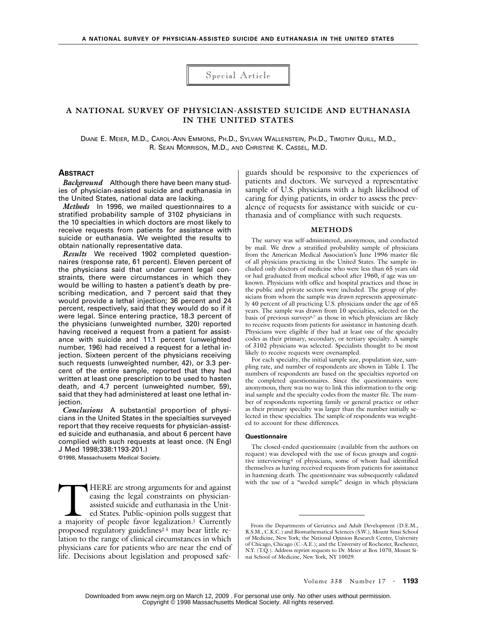# Special Article

# **A NATIONAL SURVEY OF PHYSICIAN-ASSISTED SUICIDE AND EUTHANASIA IN THE UNITED STATES**

DIANE E. MEIER, M.D., CAROL-ANN EMMONS, PH.D., SYLVAN WALLENSTEIN, PH.D., TIMOTHY QUILL, M.D., R. SEAN MORRISON, M.D., AND CHRISTINE K. CASSEL, M.D.

## **ABSTRACT**

*Background* Although there have been many studies of physician-assisted suicide and euthanasia in the United States, national data are lacking.

*Methods* In 1996, we mailed questionnaires to a stratified probability sample of 3102 physicians in the 10 specialties in which doctors are most likely to receive requests from patients for assistance with suicide or euthanasia. We weighted the results to obtain nationally representative data.

*Results* We received 1902 completed questionnaires (response rate, 61 percent). Eleven percent of the physicians said that under current legal constraints, there were circumstances in which they would be willing to hasten a patient's death by prescribing medication, and 7 percent said that they would provide a lethal injection; 36 percent and 24 percent, respectively, said that they would do so if it were legal. Since entering practice, 18.3 percent of the physicians (unweighted number, 320) reported having received a request from a patient for assistance with suicide and 11.1 percent (unweighted number, 196) had received a request for a lethal injection. Sixteen percent of the physicians receiving such requests (unweighted number, 42), or 3.3 percent of the entire sample, reported that they had written at least one prescription to be used to hasten death, and 4.7 percent (unweighted number, 59), said that they had administered at least one lethal iniection.

*Conclusions* A substantial proportion of physicians in the United States in the specialties surveyed report that they receive requests for physician-assisted suicide and euthanasia, and about 6 percent have complied with such requests at least once. (N Engl J Med 1998;338:1193-201.)

©1998, Massachusetts Medical Society.

HERE are strong arguments for and against easing the legal constraints on physicianassisted suicide and euthanasia in the United States. Public-opinion polls suggest that HERE are strong arguments for and against<br>easing the legal constraints on physician-<br>assisted suicide and euthanasia in the Unit-<br>ed States. Public-opinion polls suggest that<br>a majority of people favor legalization.<sup>1</sup> Cur proposed regulatory guidelines<sup>2-5</sup> may bear little relation to the range of clinical circumstances in which physicians care for patients who are near the end of life. Decisions about legislation and proposed safe-

guards should be responsive to the experiences of patients and doctors. We surveyed a representative sample of U.S. physicians with a high likelihood of caring for dying patients, in order to assess the prevalence of requests for assistance with suicide or euthanasia and of compliance with such requests.

### **METHODS**

The survey was self-administered, anonymous, and conducted by mail. We drew a stratified probability sample of physicians from the American Medical Association's June 1996 master file of all physicians practicing in the United States. The sample included only doctors of medicine who were less than 65 years old or had graduated from medical school after 1960, if age was unknown. Physicians with office and hospital practices and those in the public and private sectors were included. The group of physicians from whom the sample was drawn represents approximately 40 percent of all practicing U.S. physicians under the age of 65 years. The sample was drawn from 10 specialties, selected on the basis of previous surveys6,7 as those in which physicians are likely to receive requests from patients for assistance in hastening death. Physicians were eligible if they had at least one of the specialty codes as their primary, secondary, or tertiary specialty. A sample of 3102 physicians was selected. Specialists thought to be most likely to receive requests were oversampled.

For each specialty, the initial sample size, population size, sampling rate, and number of respondents are shown in Table 1. The numbers of respondents are based on the specialties reported on the completed questionnaires. Since the questionnaires were anonymous, there was no way to link this information to the original sample and the specialty codes from the master file. The number of respondents reporting family or general practice or other as their primary specialty was larger than the number initially selected in these specialties. The sample of respondents was weighted to account for these differences.

### **Questionnaire**

The closed-ended questionnaire (available from the authors on request) was developed with the use of focus groups and cognitive interviewing8 of physicians, some of whom had identified themselves as having received requests from patients for assistance in hastening death. The questionnaire was subsequently validated with the use of a "seeded sample" design in which physicians

From the Departments of Geriatrics and Adult Development (D.E.M., R.S.M., C.K.C.) and Biomathematical Sciences (S.W.), Mount Sinai School of Medicine, New York; the National Opinion Research Center, University of Chicago, Chicago (C.-A.E.); and the University of Rochester, Rochester, N.Y. (T.Q.). Address reprint requests to Dr. Meier at Box 1070, Mount Sinai School of Medicine, New York, NY 10029.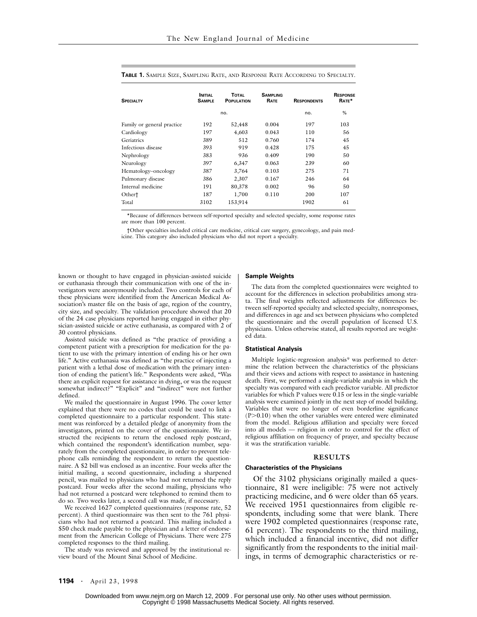| <b>SPECIALTY</b>           | <b>INITIAL</b><br><b>SAMPLE</b> | <b>TOTAL</b><br><b>POPULATION</b> | <b>SAMPLING</b><br><b>RATE</b> | <b>RESPONDENTS</b> | <b>RESPONSE</b><br>RATE* |  |
|----------------------------|---------------------------------|-----------------------------------|--------------------------------|--------------------|--------------------------|--|
|                            |                                 | no.                               |                                | no.                | $\frac{9}{6}$            |  |
| Family or general practice | 192                             | 52,448                            | 0.004                          | 197                | 103                      |  |
| Cardiology                 | 197                             | 4,603                             | 0.043                          | 110                | 56                       |  |
| Geriatrics                 | 389                             | 512                               | 0.760                          | 174                | 45                       |  |
| Infectious disease         | 393                             | 919                               | 0.428                          | 175                | 45                       |  |
| Nephrology                 | 383                             | 936                               | 0.409                          | 190                | 50                       |  |
| Neurology                  | 397                             | 6,347                             | 0.063                          | 239                | 60                       |  |
| Hematology-oncology        | 387                             | 3,764                             | 0.103                          | 275                | 71                       |  |
| Pulmonary disease          | 386                             | 2,307                             | 0.167                          | 246                | 64                       |  |
| Internal medicine          | 191                             | 80,378                            | 0.002                          | 96                 | 50                       |  |
| Other†                     | 187                             | 1,700                             | 0.110                          | 200                | 107                      |  |
| Total                      | 3102                            | 153,914                           |                                | 1902               | 61                       |  |

**TABLE 1.** SAMPLE SIZE, SAMPLING RATE, AND RESPONSE RATE ACCORDING TO SPECIALTY.

\*Because of differences between self-reported specialty and selected specialty, some response rates are more than 100 percent.

†Other specialties included critical care medicine, critical care surgery, gynecology, and pain medicine. This category also included physicians who did not report a specialty.

known or thought to have engaged in physician-assisted suicide or euthanasia through their communication with one of the investigators were anonymously included. Two controls for each of these physicians were identified from the American Medical Association's master file on the basis of age, region of the country, city size, and specialty. The validation procedure showed that 20 of the 24 case physicians reported having engaged in either physician-assisted suicide or active euthanasia, as compared with 2 of 30 control physicians.

Assisted suicide was defined as "the practice of providing a competent patient with a prescription for medication for the patient to use with the primary intention of ending his or her own life." Active euthanasia was defined as "the practice of injecting a patient with a lethal dose of medication with the primary intention of ending the patient's life." Respondents were asked, "Was there an explicit request for assistance in dying, or was the request somewhat indirect?" "Explicit" and "indirect" were not further defined.

We mailed the questionnaire in August 1996. The cover letter explained that there were no codes that could be used to link a completed questionnaire to a particular respondent. This statement was reinforced by a detailed pledge of anonymity from the investigators, printed on the cover of the questionnaire. We instructed the recipients to return the enclosed reply postcard, which contained the respondent's identification number, separately from the completed questionnaire, in order to prevent telephone calls reminding the respondent to return the questionnaire. A \$2 bill was enclosed as an incentive. Four weeks after the initial mailing, a second questionnaire, including a sharpened pencil, was mailed to physicians who had not returned the reply postcard. Four weeks after the second mailing, physicians who had not returned a postcard were telephoned to remind them to do so. Two weeks later, a second call was made, if necessary.

We received 1627 completed questionnaires (response rate, 52 percent). A third questionnaire was then sent to the 761 physicians who had not returned a postcard. This mailing included a \$50 check made payable to the physician and a letter of endorsement from the American College of Physicians. There were 275 completed responses to the third mailing.

The study was reviewed and approved by the institutional review board of the Mount Sinai School of Medicine.

### **Sample Weights**

The data from the completed questionnaires were weighted to account for the differences in selection probabilities among strata. The final weights reflected adjustments for differences between self-reported specialty and selected specialty, nonresponses, and differences in age and sex between physicians who completed the questionnaire and the overall population of licensed U.S. physicians. Unless otherwise stated, all results reported are weighted data.

#### **Statistical Analysis**

Multiple logistic-regression analysis<sup>9</sup> was performed to determine the relation between the characteristics of the physicians and their views and actions with respect to assistance in hastening death. First, we performed a single-variable analysis in which the specialty was compared with each predictor variable. All predictor variables for which P values were 0.15 or less in the single-variable analysis were examined jointly in the next step of model building. Variables that were no longer of even borderline significance (P>0.10) when the other variables were entered were eliminated from the model. Religious affiliation and specialty were forced into all models — religion in order to control for the effect of religious affiliation on frequency of prayer, and specialty because it was the stratification variable.

### **RESULTS**

## **Characteristics of the Physicians**

Of the 3102 physicians originally mailed a questionnaire, 81 were ineligible: 75 were not actively practicing medicine, and 6 were older than 65 years. We received 1951 questionnaires from eligible respondents, including some that were blank. There were 1902 completed questionnaires (response rate, 61 percent). The respondents to the third mailing, which included a financial incentive, did not differ significantly from the respondents to the initial mailings, in terms of demographic characteristics or re-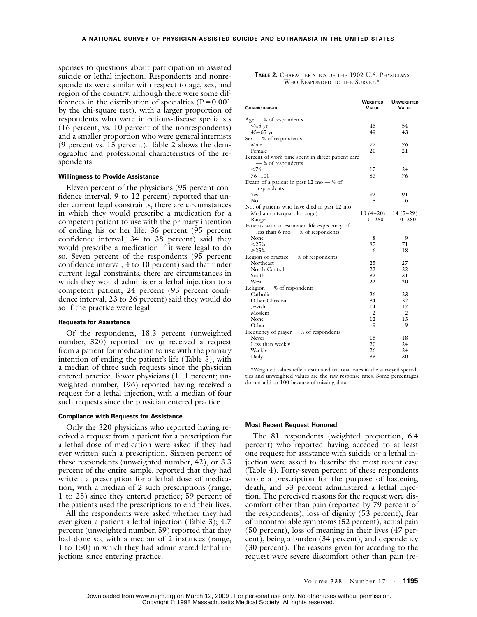sponses to questions about participation in assisted suicide or lethal injection. Respondents and nonrespondents were similar with respect to age, sex, and region of the country, although there were some differences in the distribution of specialties ( $P=0.001$ ) by the chi-square test), with a larger proportion of respondents who were infectious-disease specialists (16 percent, vs. 10 percent of the nonrespondents) and a smaller proportion who were general internists (9 percent vs. 15 percent). Table 2 shows the demographic and professional characteristics of the respondents.

#### **Willingness to Provide Assistance**

Eleven percent of the physicians (95 percent confidence interval, 9 to 12 percent) reported that under current legal constraints, there are circumstances in which they would prescribe a medication for a competent patient to use with the primary intention of ending his or her life; 36 percent (95 percent confidence interval, 34 to 38 percent) said they would prescribe a medication if it were legal to do so. Seven percent of the respondents (95 percent confidence interval, 4 to 10 percent) said that under current legal constraints, there are circumstances in which they would administer a lethal injection to a competent patient; 24 percent (95 percent confidence interval, 23 to 26 percent) said they would do so if the practice were legal.

#### **Requests for Assistance**

Of the respondents, 18.3 percent (unweighted number, 320) reported having received a request from a patient for medication to use with the primary intention of ending the patient's life (Table 3), with a median of three such requests since the physician entered practice. Fewer physicians (11.1 percent; unweighted number, 196) reported having received a request for a lethal injection, with a median of four such requests since the physician entered practice.

### **Compliance with Requests for Assistance**

Only the 320 physicians who reported having received a request from a patient for a prescription for a lethal dose of medication were asked if they had ever written such a prescription. Sixteen percent of these respondents (unweighted number, 42), or 3.3 percent of the entire sample, reported that they had written a prescription for a lethal dose of medication, with a median of 2 such prescriptions (range, 1 to 25) since they entered practice; 59 percent of the patients used the prescriptions to end their lives.

All the respondents were asked whether they had ever given a patient a lethal injection (Table 3); 4.7 percent (unweighted number, 59) reported that they had done so, with a median of 2 instances (range, 1 to 150) in which they had administered lethal injections since entering practice.

| <b>TABLE 2.</b> CHARACTERISTICS OF THE 1902 U.S. PHYSICIANS |
|-------------------------------------------------------------|
| WHO RESPONDED TO THE SURVEY.*                               |

| <b>CHARACTERISTIC</b>                                                                        | <b>WEIGHTED</b><br><b>VALUE</b> | <b>UNWEIGHTED</b><br><b>VALUE</b> |
|----------------------------------------------------------------------------------------------|---------------------------------|-----------------------------------|
| $Age - %$ of respondents                                                                     |                                 |                                   |
| $<$ 45 yr                                                                                    | 48                              | 54                                |
| $45 - 65$ yr                                                                                 | 49                              | 43                                |
| $Sex - % of respondents$                                                                     |                                 |                                   |
| Male                                                                                         | 77                              | 76                                |
| Female                                                                                       | 20                              | 21                                |
| Percent of work time spent in direct patient care<br>— % of respondents                      |                                 |                                   |
| < 76                                                                                         | 17                              | 24                                |
| $76 - 100$                                                                                   | 83                              | 76                                |
| Death of a patient in past $12 \text{ mo} - %$ of<br>respondents                             |                                 |                                   |
| Yes                                                                                          | 92                              | 91                                |
| No                                                                                           | 5                               | 6                                 |
| No. of patients who have died in past 12 mo                                                  |                                 |                                   |
| Median (interquartile range)                                                                 | $10(4-20)$                      | $14(5-29)$                        |
| Range                                                                                        | $0 - 280$                       | $0 - 280$                         |
| Patients with an estimated life expectancy of<br>less than $6 \text{ mo} - %$ of respondents |                                 |                                   |
| None                                                                                         | 8                               | 9                                 |
| $<$ 25%                                                                                      | 85                              | 71                                |
| $\geqslant$ 25%                                                                              | 6                               | 18                                |
| Region of practice — % of respondents                                                        |                                 |                                   |
| Northeast                                                                                    | 25                              | 27                                |
| North Central                                                                                | 22                              | 22                                |
| South                                                                                        | 32                              | 31                                |
| West                                                                                         | 22                              | 20                                |
| Religion — % of respondents                                                                  |                                 |                                   |
| Catholic                                                                                     | 26                              | 23                                |
| Other Christian                                                                              | 34                              | 32                                |
| <b>Tewish</b>                                                                                | 14                              | 17                                |
| Moslem                                                                                       | $\mathfrak{p}$                  | $\overline{c}$                    |
| None                                                                                         | 12                              | 13                                |
| Other                                                                                        | 9                               | 9                                 |
| Frequency of prayer $-$ % of respondents                                                     |                                 |                                   |
| Never                                                                                        | 16                              | 18                                |
| Less than weekly                                                                             | 20                              | 24                                |
| Weekly                                                                                       | 26                              | 24                                |
| Daily                                                                                        | 33                              | 30                                |

\*Weighted values reflect estimated national rates in the surveyed specialties and unweighted values are the raw response rates. Some percentages do not add to 100 because of missing data.

#### **Most Recent Request Honored**

The 81 respondents (weighted proportion, 6.4 percent) who reported having acceded to at least one request for assistance with suicide or a lethal injection were asked to describe the most recent case (Table 4). Forty-seven percent of these respondents wrote a prescription for the purpose of hastening death, and 53 percent administered a lethal injection. The perceived reasons for the request were discomfort other than pain (reported by 79 percent of the respondents), loss of dignity (53 percent), fear of uncontrollable symptoms (52 percent), actual pain (50 percent), loss of meaning in their lives (47 percent), being a burden (34 percent), and dependency (30 percent). The reasons given for acceding to the request were severe discomfort other than pain (re-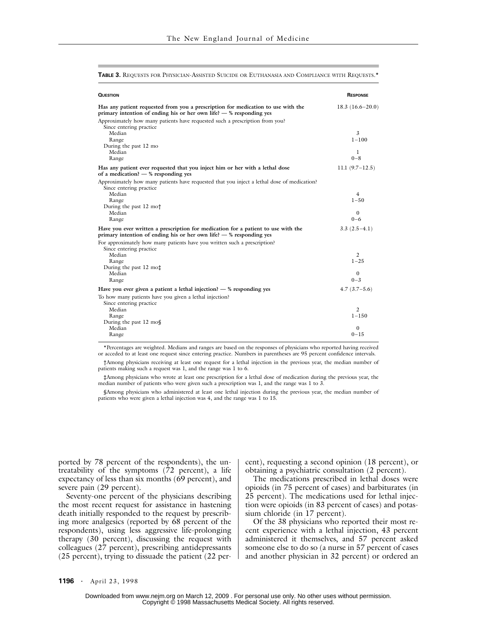| <b>QUESTION</b>                                                                                                                                            | <b>RESPONSE</b>      |
|------------------------------------------------------------------------------------------------------------------------------------------------------------|----------------------|
| Has any patient requested from you a prescription for medication to use with the<br>primary intention of ending his or her own life? $-$ % responding yes  | $18.3(16.6-20.0)$    |
| Approximately how many patients have requested such a prescription from you?<br>Since entering practice                                                    |                      |
| Median                                                                                                                                                     | 3                    |
| Range<br>During the past 12 mo                                                                                                                             | $1 - 100$            |
| Median                                                                                                                                                     | 1                    |
| Range                                                                                                                                                      | $0 - 8$              |
| Has any patient ever requested that you inject him or her with a lethal dose<br>of a medication? $-$ % responding yes                                      | $11.1(9.7-12.5)$     |
| Approximately how many patients have requested that you inject a lethal dose of medication?<br>Since entering practice                                     |                      |
| Median                                                                                                                                                     | 4                    |
| Range<br>During the past 12 mo†                                                                                                                            | $1 - 50$             |
| Median                                                                                                                                                     | $\Omega$             |
| Range                                                                                                                                                      | $0 - 6$              |
| Have you ever written a prescription for medication for a patient to use with the<br>primary intention of ending his or her own life? $-$ % responding yes | $3.3(2.5-4.1)$       |
| For approximately how many patients have you written such a prescription?                                                                                  |                      |
| Since entering practice<br>Median                                                                                                                          | $\overline{c}$       |
| Range                                                                                                                                                      | $1 - 25$             |
| During the past 12 mo‡<br>Median                                                                                                                           | $\mathbf{0}$         |
| Range                                                                                                                                                      | $0 - 3$              |
| Have you ever given a patient a lethal injection? $-$ % responding yes                                                                                     | $4.7(3.7-5.6)$       |
| To how many patients have you given a lethal injection?                                                                                                    |                      |
| Since entering practice<br>Median                                                                                                                          | $\overline{2}$       |
| Range                                                                                                                                                      | $1 - 150$            |
| During the past 12 mos                                                                                                                                     |                      |
| Median<br>Range                                                                                                                                            | $\Omega$<br>$0 - 15$ |

**TABLE 3.** REQUESTS FOR PHYSICIAN-ASSISTED SUICIDE OR EUTHANASIA AND COMPLIANCE WITH REQUESTS.\*

\*Percentages are weighted. Medians and ranges are based on the responses of physicians who reported having received or acceded to at least one request since entering practice. Numbers in parentheses are 95 percent confidence intervals.

†Among physicians receiving at least one request for a lethal injection in the previous year, the median number of patients making such a request was 1, and the range was 1 to 6.

‡Among physicians who wrote at least one prescription for a lethal dose of medication during the previous year, the median number of patients who were given such a prescription was 1, and the range was 1 to 3.

§Among physicians who administered at least one lethal injection during the previous year, the median number of patients who were given a lethal injection was 4, and the range was 1 to 15.

ported by 78 percent of the respondents), the untreatability of the symptoms (72 percent), a life expectancy of less than six months (69 percent), and severe pain (29 percent).

Seventy-one percent of the physicians describing the most recent request for assistance in hastening death initially responded to the request by prescribing more analgesics (reported by 68 percent of the respondents), using less aggressive life-prolonging therapy (30 percent), discussing the request with colleagues (27 percent), prescribing antidepressants (25 percent), trying to dissuade the patient (22 percent), requesting a second opinion (18 percent), or obtaining a psychiatric consultation (2 percent).

The medications prescribed in lethal doses were opioids (in 75 percent of cases) and barbiturates (in 25 percent). The medications used for lethal injection were opioids (in 83 percent of cases) and potassium chloride (in 17 percent).

Of the 38 physicians who reported their most recent experience with a lethal injection, 43 percent administered it themselves, and 57 percent asked someone else to do so (a nurse in 57 percent of cases and another physician in 32 percent) or ordered an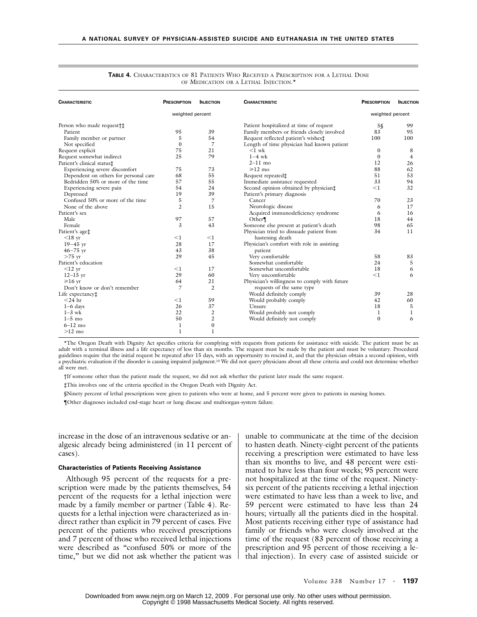| <b>CHARACTERISTIC</b>                  | <b>PRESCRIPTION</b> | <b>INJECTION</b> | <b>CHARACTERISTIC</b>                           | <b>PRESCRIPTION</b> | <b>INJECTION</b> |  |
|----------------------------------------|---------------------|------------------|-------------------------------------------------|---------------------|------------------|--|
|                                        | weighted percent    |                  |                                                 | weighted percent    |                  |  |
| Person who made request†‡              |                     |                  | Patient hospitalized at time of request         | 5\$                 | 99               |  |
| Patient                                | 95                  | 39               | Family members or friends closely involved      | 83                  | 95               |  |
| Family member or partner               | 5                   | 54               | Request reflected patient's wishes <sup>+</sup> | 100                 | 100              |  |
| Not specified                          | $\Omega$            | 7                | Length of time physician had known patient      |                     |                  |  |
| Request explicit                       | 75                  | 21               | $<$ l wk                                        | $\Omega$            | 8                |  |
| Request somewhat indirect              | 25                  | 79               | $1-4$ wk                                        | $\mathbf{0}$        | 4                |  |
| Patient's clinical status <sup>+</sup> |                     |                  | $2-11$ mo                                       | 12                  | 26               |  |
| Experiencing severe discomfort         | 75                  | 73               | $\geq 12$ mo                                    | 88                  | 62               |  |
| Dependent on others for personal care  | 68                  | 55               | Request repeated‡                               | 51                  | 53               |  |
| Bedridden 50% or more of the time      | 57                  | 55               | Immediate assistance requested                  | 33                  | 94               |  |
| Experiencing severe pain               | 54                  | 24               | Second opinion obtained by physician‡           | $\leq$ 1            | 32               |  |
| Depressed                              | 19                  | 39               | Patient's primary diagnosis                     |                     |                  |  |
| Confused 50% or more of the time       | 5                   | 7                | Cancer                                          | 70                  | 23               |  |
| None of the above                      | $\overline{c}$      | 15               | Neurologic disease                              | 6                   | 17               |  |
| Patient's sex                          |                     |                  | Acquired immunodeficiency syndrome              | 6                   | 16               |  |
| Male                                   | 97                  | 57               | Other                                           | 18                  | 44               |  |
| Female                                 | 3                   | 43               | Someone else present at patient's death         | 98                  | 65               |  |
| Patient's age <sup>+</sup>             |                     |                  | Physician tried to dissuade patient from        | 34                  | 11               |  |
| $<18$ yr                               | $<$ l               | $<$ l            | hastening death                                 |                     |                  |  |
| $19 - 45$ yr                           | 28                  | 17               | Physician's comfort with role in assisting      |                     |                  |  |
| $46 - 75$ yr                           | 43                  | 38               | patient                                         |                     |                  |  |
| $>75$ yr                               | 29                  | 45               | Very comfortable                                | 58                  | 83               |  |
| Patient's education                    |                     |                  | Somewhat comfortable                            | 24                  | 5                |  |
| $<12$ yr                               | $<$ l               | 17               | Somewhat uncomfortable                          | 18                  | 6                |  |
| $12-15$ yr                             | 29                  | 60               | Very uncomfortable                              | $\leq$ 1            | 6                |  |
| $\geq 16$ yr                           | 64                  | 21               | Physician's willingness to comply with future   |                     |                  |  |
| Don't know or don't remember           | 7                   | 2                | requests of the same type                       |                     |                  |  |
| Life expectancy <sup>+</sup>           |                     |                  | Would definitely comply                         | 39                  | 28               |  |
| $<$ 24 hr                              | $<$ l               | 59               | Would probably comply                           | 42                  | 60               |  |
| $1-6$ days                             | 26                  | 37               | Unsure                                          | 18                  | 5                |  |
| $1-3$ wk                               | 22                  | 2                | Would probably not comply                       | 1                   | 1                |  |
| $1-5$ mo                               | 50                  | $\mathbf{2}$     | Would definitely not comply                     | $\mathbf{0}$        | 6                |  |
| $6-12$ mo                              | 1                   | $\boldsymbol{0}$ |                                                 |                     |                  |  |
| $>12$ mo                               | 1                   | $\mathbf{I}$     |                                                 |                     |                  |  |

**TABLE 4.** CHARACTERISTICS OF 81 PATIENTS WHO RECEIVED A PRESCRIPTION FOR A LETHAL DOSE OF MEDICATION OR A LETHAL INJECTION.\*

\*The Oregon Death with Dignity Act specifies criteria for complying with requests from patients for assistance with suicide. The patient must be an adult with a terminal illness and a life expectancy of less than six months. The request must be made by the patient and must be voluntary. Procedural guidelines require that the initial request be repeated after 15 days, with an opportunity to rescind it, and that the physician obtain a second opinion, with a psychiatric evaluation if the disorder is causing impaired judgment.10 We did not query physicians about all these criteria and could not determine whether all were met.

†If someone other than the patient made the request, we did not ask whether the patient later made the same request.

‡This involves one of the criteria specified in the Oregon Death with Dignity Act.

§Ninety percent of lethal prescriptions were given to patients who were at home, and 5 percent were given to patients in nursing homes.

¶Other diagnoses included end-stage heart or lung disease and multiorgan-system failure.

increase in the dose of an intravenous sedative or analgesic already being administered (in 11 percent of cases).

#### **Characteristics of Patients Receiving Assistance**

Although 95 percent of the requests for a prescription were made by the patients themselves, 54 percent of the requests for a lethal injection were made by a family member or partner (Table 4). Requests for a lethal injection were characterized as indirect rather than explicit in 79 percent of cases. Five percent of the patients who received prescriptions and 7 percent of those who received lethal injections were described as "confused 50% or more of the time," but we did not ask whether the patient was unable to communicate at the time of the decision to hasten death. Ninety-eight percent of the patients receiving a prescription were estimated to have less than six months to live, and 48 percent were estimated to have less than four weeks; 95 percent were not hospitalized at the time of the request. Ninetysix percent of the patients receiving a lethal injection were estimated to have less than a week to live, and 59 percent were estimated to have less than 24 hours; virtually all the patients died in the hospital. Most patients receiving either type of assistance had family or friends who were closely involved at the time of the request (83 percent of those receiving a prescription and 95 percent of those receiving a lethal injection). In every case of assisted suicide or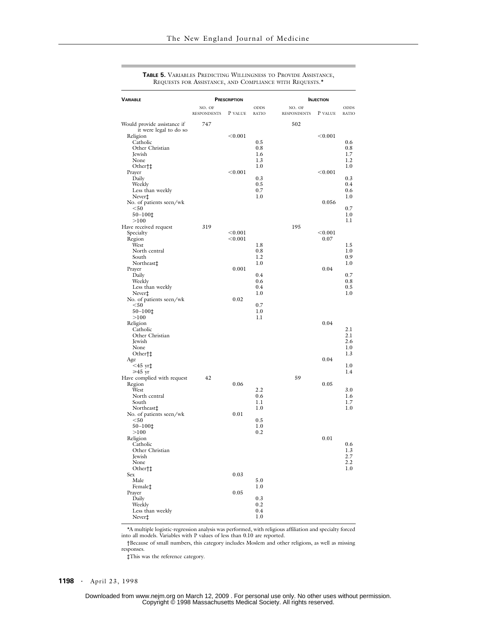| <b><i>VARIABLE</i></b>                        | <b>PRESCRIPTION</b>          |                    |                      | <b>INJECTION</b>             |                 |                      |  |
|-----------------------------------------------|------------------------------|--------------------|----------------------|------------------------------|-----------------|----------------------|--|
|                                               | NO. OF<br><b>RESPONDENTS</b> | P VALUE            | ODDS<br><b>RATIO</b> | NO. OF<br><b>RESPONDENTS</b> | P VALUE         | ODDS<br><b>RATIO</b> |  |
| Would provide assistance if                   | 747                          |                    |                      | 502                          |                 |                      |  |
| it were legal to do so<br>Religion            |                              | < 0.001            |                      |                              | < 0.001         |                      |  |
| Catholic                                      |                              |                    | 0.5                  |                              |                 | 0.6                  |  |
| Other Christian                               |                              |                    | 0.8                  |                              |                 | 0.8                  |  |
| Jewish                                        |                              |                    | 1.6                  |                              |                 | 1.7                  |  |
| None                                          |                              |                    | 1.3                  |                              |                 | 1.2                  |  |
| Other†‡                                       |                              |                    | 1.0                  |                              |                 | 1.0                  |  |
| Prayer                                        |                              | < 0.001            | 0.3                  |                              | < 0.001         | 0.3                  |  |
| Daily<br>Weekly                               |                              |                    | 0.5                  |                              |                 | 0.4                  |  |
| Less than weekly                              |                              |                    | 0.7                  |                              |                 | 0.6                  |  |
| Never‡                                        |                              |                    | 1.0                  |                              |                 | 1.0                  |  |
| No. of patients seen/wk                       |                              |                    |                      |                              | 0.056           |                      |  |
| $<$ 50                                        |                              |                    |                      |                              |                 | 0.7                  |  |
| 50–100‡                                       |                              |                    |                      |                              |                 | 1.0                  |  |
| >100                                          |                              |                    |                      |                              |                 | 1.1                  |  |
| Have received request                         | 319                          |                    |                      | 195                          |                 |                      |  |
| Specialty<br>Region                           |                              | < 0.001<br>< 0.001 |                      |                              | < 0.001<br>0.07 |                      |  |
| West                                          |                              |                    | 1.8                  |                              |                 | 1.5                  |  |
| North central                                 |                              |                    | 0.8                  |                              |                 | 1.0                  |  |
| South                                         |                              |                    | 1.2                  |                              |                 | 0.9                  |  |
| Northeast‡                                    |                              |                    | 1.0                  |                              |                 | 1.0                  |  |
| Prayer                                        |                              | 0.001              |                      |                              | 0.04            |                      |  |
| Daily                                         |                              |                    | 0.4                  |                              |                 | 0.7                  |  |
| Weekly                                        |                              |                    | 0.6                  |                              |                 | 0.8                  |  |
| Less than weekly                              |                              |                    | 0.4<br>1.0           |                              |                 | 0.5<br>1.0           |  |
| Never <sup>+</sup><br>No. of patients seen/wk |                              | 0.02               |                      |                              |                 |                      |  |
| $<$ 50                                        |                              |                    | 0.7                  |                              |                 |                      |  |
| $50 - 1001$                                   |                              |                    | 1.0                  |                              |                 |                      |  |
| >100                                          |                              |                    | 1.1                  |                              |                 |                      |  |
| Religion                                      |                              |                    |                      |                              | 0.04            |                      |  |
| Catholic                                      |                              |                    |                      |                              |                 | 2.1                  |  |
| Other Christian                               |                              |                    |                      |                              |                 | 2.1                  |  |
| Jewish                                        |                              |                    |                      |                              |                 | 2.6                  |  |
| None                                          |                              |                    |                      |                              |                 | 1.0<br>1.3           |  |
| Other†‡<br>Age                                |                              |                    |                      |                              | 0.04            |                      |  |
| $<$ 45 yr‡                                    |                              |                    |                      |                              |                 | 1.0                  |  |
| $≥45$ yr                                      |                              |                    |                      |                              |                 | 1.4                  |  |
| Have complied with request                    | 42                           |                    |                      | 59                           |                 |                      |  |
| Region                                        |                              | 0.06               |                      |                              | 0.05            |                      |  |
| West                                          |                              |                    | 2.2                  |                              |                 | 3.0                  |  |
| North central                                 |                              |                    | 0.6                  |                              |                 | 1.6                  |  |
| South                                         |                              |                    | 1.1                  |                              |                 | 1.7                  |  |
| Northeast‡                                    |                              | 0.01               | 1.0                  |                              |                 | 1.0                  |  |
| No. of patients seen/wk<br>$<$ 50             |                              |                    | 0.5                  |                              |                 |                      |  |
| 50–100‡                                       |                              |                    | 1.0                  |                              |                 |                      |  |
| >100                                          |                              |                    | 0.2                  |                              |                 |                      |  |
| Religion                                      |                              |                    |                      |                              | 0.01            |                      |  |
| Catholic                                      |                              |                    |                      |                              |                 | 0.6                  |  |
| Other Christian                               |                              |                    |                      |                              |                 | 1.3                  |  |
| Jewish                                        |                              |                    |                      |                              |                 | 2.7                  |  |
| None                                          |                              |                    |                      |                              |                 | 2.2                  |  |
| Other†‡<br>Sex                                |                              | 0.03               |                      |                              |                 | 1.0                  |  |
| Male                                          |                              |                    | 5.0                  |                              |                 |                      |  |
| Female <sup>+</sup>                           |                              |                    | 1.0                  |                              |                 |                      |  |
| Prayer                                        |                              | 0.05               |                      |                              |                 |                      |  |
| Daily                                         |                              |                    | 0.3                  |                              |                 |                      |  |
| Weekly                                        |                              |                    | 0.2                  |                              |                 |                      |  |
| Less than weekly                              |                              |                    | 0.4                  |                              |                 |                      |  |
| Never‡                                        |                              |                    | 1.0                  |                              |                 |                      |  |

**TABLE 5.** VARIABLES PREDICTING WILLINGNESS TO PROVIDE ASSISTANCE, REQUESTS FOR ASSISTANCE, AND COMPLIANCE WITH REQUESTS.\*

\*A multiple logistic-regression analysis was performed, with religious affiliation and specialty forced into all models. Variables with P values of less than 0.10 are reported.

†Because of small numbers, this category includes Moslem and other religions, as well as missing responses.

‡This was the reference category.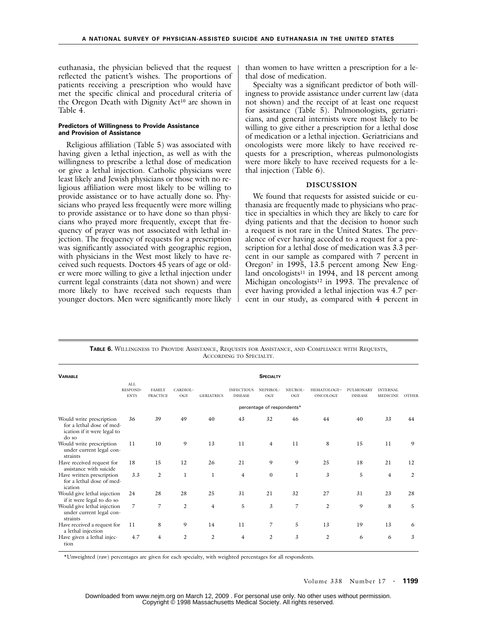euthanasia, the physician believed that the request reflected the patient's wishes. The proportions of patients receiving a prescription who would have met the specific clinical and procedural criteria of the Oregon Death with Dignity Act<sup>10</sup> are shown in Table 4.

#### **Predictors of Willingness to Provide Assistance and Provision of Assistance**

Religious affiliation (Table 5) was associated with having given a lethal injection, as well as with the willingness to prescribe a lethal dose of medication or give a lethal injection. Catholic physicians were least likely and Jewish physicians or those with no religious affiliation were most likely to be willing to provide assistance or to have actually done so. Physicians who prayed less frequently were more willing to provide assistance or to have done so than physicians who prayed more frequently, except that frequency of prayer was not associated with lethal injection. The frequency of requests for a prescription was significantly associated with geographic region, with physicians in the West most likely to have received such requests. Doctors 45 years of age or older were more willing to give a lethal injection under current legal constraints (data not shown) and were more likely to have received such requests than younger doctors. Men were significantly more likely

than women to have written a prescription for a lethal dose of medication.

Specialty was a significant predictor of both willingness to provide assistance under current law (data not shown) and the receipt of at least one request for assistance (Table 5). Pulmonologists, geriatricians, and general internists were most likely to be willing to give either a prescription for a lethal dose of medication or a lethal injection. Geriatricians and oncologists were more likely to have received requests for a prescription, whereas pulmonologists were more likely to have received requests for a lethal injection (Table 6).

### **DISCUSSION**

We found that requests for assisted suicide or euthanasia are frequently made to physicians who practice in specialties in which they are likely to care for dying patients and that the decision to honor such a request is not rare in the United States. The prevalence of ever having acceded to a request for a prescription for a lethal dose of medication was 3.3 percent in our sample as compared with 7 percent in Oregon7 in 1995, 13.5 percent among New England oncologists $11$  in 1994, and 18 percent among Michigan oncologists<sup>12</sup> in 1993. The prevalence of ever having provided a lethal injection was 4.7 percent in our study, as compared with 4 percent in

**TABLE 6.** WILLINGNESS TO PROVIDE ASSISTANCE, REQUESTS FOR ASSISTANCE, AND COMPLIANCE WITH REQUESTS, ACCORDING TO SPECIALTY.

| <b>VARIABLE</b>                                                                               |                                              |                                  |                 |                   |                                     | <b>SPECIALTY</b>           |                |                         |                             |                                    |       |
|-----------------------------------------------------------------------------------------------|----------------------------------------------|----------------------------------|-----------------|-------------------|-------------------------------------|----------------------------|----------------|-------------------------|-----------------------------|------------------------------------|-------|
|                                                                                               | <b>ALL</b><br><b>RESPOND-</b><br><b>ENTS</b> | <b>FAMILY</b><br><b>PRACTICE</b> | CARDIOL-<br>OGY | <b>GERIATRICS</b> | <b>INFECTIOUS</b><br><b>DISEASE</b> | NEPHROL<br>OGY             | NEUROL-<br>OGY | HEMATOLOGY-<br>ONCOLOGY | PULMONARY<br><b>DISEASE</b> | <b>INTERNAL</b><br><b>MEDICINE</b> | OTHER |
|                                                                                               |                                              |                                  |                 |                   |                                     | percentage of respondents* |                |                         |                             |                                    |       |
| Would write prescription<br>for a lethal dose of med-<br>ication if it were legal to<br>do so | 36                                           | 39                               | 49              | 40                | 43                                  | 32                         | 46             | 44                      | 40                          | 33                                 | 44    |
| Would write prescription<br>under current legal con-<br>straints                              | 11                                           | 10                               | 9               | 13                | 11                                  | $\overline{4}$             | 11             | 8                       | 15                          | 11                                 | 9     |
| Have received request for<br>assistance with suicide                                          | 18                                           | 15                               | 12              | 26                | 21                                  | 9                          | 9              | 25                      | 18                          | 21                                 | 12    |
| Have written prescription<br>for a lethal dose of med-<br>ication                             | 3.3                                          | $\overline{2}$                   | $\mathbf{1}$    | 1                 | $\overline{4}$                      | $\mathbf{0}$               | 1              | 3                       | 5                           | 4                                  | 2     |
| Would give lethal injection<br>if it were legal to do so                                      | 24                                           | 28                               | 28              | 25                | 31                                  | 21                         | 32             | 27                      | 31                          | 23                                 | 28    |
| Would give lethal injection<br>under current legal con-<br>straints                           | $\overline{7}$                               | 7                                | $\overline{2}$  | $\overline{4}$    | 5                                   | 3                          | 7              | $\overline{2}$          | 9                           | 8                                  | 5     |
| Have received a request for<br>a lethal injection                                             | 11                                           | 8                                | 9               | 14                | 11                                  | 7                          | 5              | 13                      | 19                          | 13                                 | 6     |
| Have given a lethal injec-<br>tion                                                            | 4.7                                          | $\overline{4}$                   | $\overline{2}$  | $\overline{2}$    | $\overline{4}$                      | $\overline{2}$             | 3              | $\overline{c}$          | 6                           | 6                                  | 3     |

\*Unweighted (raw) percentages are given for each specialty, with weighted percentages for all respondents.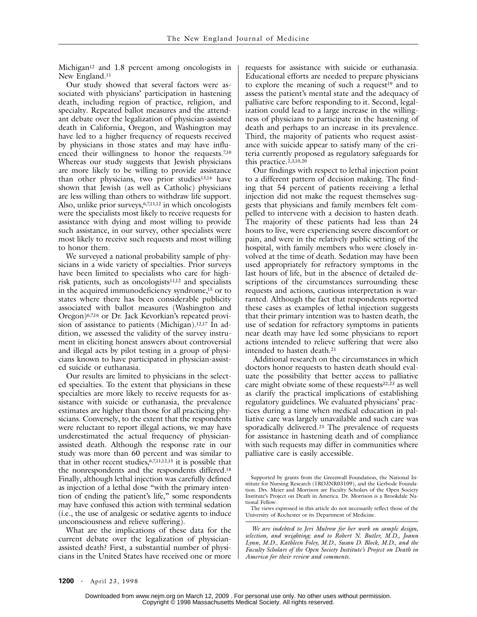Michigan<sup>12</sup> and 1.8 percent among oncologists in New England.<sup>11</sup>

Our study showed that several factors were associated with physicians' participation in hastening death, including region of practice, religion, and specialty. Repeated ballot measures and the attendant debate over the legalization of physician-assisted death in California, Oregon, and Washington may have led to a higher frequency of requests received by physicians in those states and may have influenced their willingness to honor the requests.7,10 Whereas our study suggests that Jewish physicians are more likely to be willing to provide assistance than other physicians, two prior studies<sup>13,14</sup> have shown that Jewish (as well as Catholic) physicians are less willing than others to withdraw life support. Also, unlike prior surveys,  $6,7,11,12$  in which oncologists were the specialists most likely to receive requests for assistance with dying and most willing to provide such assistance, in our survey, other specialists were most likely to receive such requests and most willing to honor them.

We surveyed a national probability sample of physicians in a wide variety of specialties. Prior surveys have been limited to specialists who care for highrisk patients, such as oncologists<sup>11,12</sup> and specialists in the acquired immunodeficiency syndrome,15 or to states where there has been considerable publicity associated with ballot measures (Washington and Oregon)6,7,16 or Dr. Jack Kevorkian's repeated provision of assistance to patients (Michigan).<sup>12,17</sup> In addition, we assessed the validity of the survey instrument in eliciting honest answers about controversial and illegal acts by pilot testing in a group of physicians known to have participated in physician-assisted suicide or euthanasia.

Our results are limited to physicians in the selected specialties. To the extent that physicians in these specialties are more likely to receive requests for assistance with suicide or euthanasia, the prevalence estimates are higher than those for all practicing physicians. Conversely, to the extent that the respondents were reluctant to report illegal actions, we may have underestimated the actual frequency of physicianassisted death. Although the response rate in our study was more than 60 percent and was similar to that in other recent studies,6,7,11,12,15 it is possible that the nonrespondents and the respondents differed.18 Finally, although lethal injection was carefully defined as injection of a lethal dose "with the primary intention of ending the patient's life," some respondents may have confused this action with terminal sedation (i.e., the use of analgesic or sedative agents to induce unconsciousness and relieve suffering).

What are the implications of these data for the current debate over the legalization of physicianassisted death? First, a substantial number of physicians in the United States have received one or more requests for assistance with suicide or euthanasia. Educational efforts are needed to prepare physicians to explore the meaning of such a request<sup>19</sup> and to assess the patient's mental state and the adequacy of palliative care before responding to it. Second, legalization could lead to a large increase in the willingness of physicians to participate in the hastening of death and perhaps to an increase in its prevalence. Third, the majority of patients who request assistance with suicide appear to satisfy many of the criteria currently proposed as regulatory safeguards for this practice.<sup>2,3,10,20</sup>

Our findings with respect to lethal injection point to a different pattern of decision making. The finding that 54 percent of patients receiving a lethal injection did not make the request themselves suggests that physicians and family members felt compelled to intervene with a decision to hasten death. The majority of these patients had less than 24 hours to live, were experiencing severe discomfort or pain, and were in the relatively public setting of the hospital, with family members who were closely involved at the time of death. Sedation may have been used appropriately for refractory symptoms in the last hours of life, but in the absence of detailed descriptions of the circumstances surrounding these requests and actions, cautious interpretation is warranted. Although the fact that respondents reported these cases as examples of lethal injection suggests that their primary intention was to hasten death, the use of sedation for refractory symptoms in patients near death may have led some physicians to report actions intended to relieve suffering that were also intended to hasten death.21

Additional research on the circumstances in which doctors honor requests to hasten death should evaluate the possibility that better access to palliative care might obviate some of these requests<sup>22,23</sup> as well as clarify the practical implications of establishing regulatory guidelines. We evaluated physicians' practices during a time when medical education in palliative care was largely unavailable and such care was sporadically delivered.23 The prevalence of requests for assistance in hastening death and of compliance with such requests may differ in communities where palliative care is easily accessible.

*We are indebted to Jeri Mulrow for her work on sample design, selection, and weighting; and to Robert N. Butler, M.D., Joann Lynn, M.D., Kathleen Foley, M.D., Susan D. Block, M.D., and the Faculty Scholars of the Open Society Institute's Project on Death in America for their review and comments.*

Supported by grants from the Greenwall Foundation, the National Institute for Nursing Research (1RO3NR03109), and the Gerbode Foundation. Drs. Meier and Morrison are Faculty Scholars of the Open Society Institute's Project on Death in America. Dr. Morrison is a Brookdale National Fellow.

The views expressed in this article do not necessarily reflect those of the University of Rochester or its Department of Medicine.